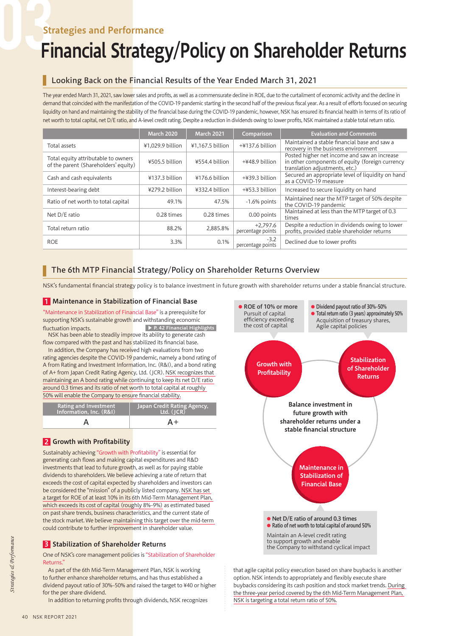# Strategies and Performance

# Financial Strategy/Policy on Shareholder Returns

## Looking Back on the Financial Results of the Year Ended March 31, 2021

The year ended March 31, 2021, saw lower sales and profits, as well as a commensurate decline in ROE, due to the curtailment of economic activity and the decline in demand that coincided with the manifestation of the COVID-19 pandemic starting in the second half of the previous fiscal year. As a result of efforts focused on securing liquidity on hand and maintaining the stability of the financial base during the COVID-19 pandemic, however, NSK has ensured its financial health in terms of its ratio of net worth to total capital, net D/E ratio, and A-level credit rating. Despite a reduction in dividends owing to lower profits, NSK maintained a stable total return ratio.

|                                                                             | March 2020       | <b>March 2021</b> | Comparison                      | <b>Evaluation and Comments</b>                                                                                                    |
|-----------------------------------------------------------------------------|------------------|-------------------|---------------------------------|-----------------------------------------------------------------------------------------------------------------------------------|
| Total assets                                                                | ¥1.029.9 billion | ¥1.167.5 billion  | $+4137.6$ billion               | Maintained a stable financial base and saw a<br>recovery in the business environment                                              |
| Total equity attributable to owners<br>of the parent (Shareholders' equity) | ¥505.5 billion   | ¥554.4 billion    | +¥48.9 billion                  | Posted higher net income and saw an increase<br>in other components of equity (foreign currency<br>translation adjustments, etc.) |
| Cash and cash equivalents                                                   | ¥137.3 billion   | ¥176.6 billion    | $+439.3$ billion                | Secured an appropriate level of liquidity on hand<br>as a COVID-19 measure                                                        |
| Interest-bearing debt                                                       | ¥279.2 billion   | ¥332.4 billion    | +¥53.3 billion                  | Increased to secure liquidity on hand                                                                                             |
| Ratio of net worth to total capital                                         | 49.1%            | 47.5%             | $-1.6\%$ points                 | Maintained near the MTP target of 50% despite<br>the COVID-19 pandemic                                                            |
| Net D/E ratio                                                               | $0.28 \times$    | $0.28 \times$     | 0.00 points                     | Maintained at less than the MTP target of 0.3<br>times                                                                            |
| Total return ratio                                                          | 88.2%            | 2,885.8%          | $+2.797.6$<br>percentage points | Despite a reduction in dividends owing to lower<br>profits, provided stable shareholder returns                                   |
| <b>ROE</b>                                                                  | 3.3%             | 0.1%              | $-3.2$<br>percentage points     | Declined due to lower profits                                                                                                     |

## The 6th MTP Financial Strategy/Policy on Shareholder Returns Overview

NSK's fundamental financial strategy policy is to balance investment in future growth with shareholder returns under a stable financial structure.

### 1 Maintenance in Stabilization of Financial Base

"Maintenance in Stabilization of Financial Base" is a prerequisite for supporting NSK's sustainable growth and withstanding economic fluctuation impacts. ▶ P. 42 Financial Highlights

 NSK has been able to steadily improve its ability to generate cash flow compared with the past and has stabilized its financial base.

 In addition, the Company has received high evaluations from two rating agencies despite the COVID-19 pandemic, namely a bond rating of A from Rating and Investment Information, Inc. (R&I), and a bond rating of A+ from Japan Credit Rating Agency, Ltd. (JCR). NSK recognizes that maintaining an A bond rating while continuing to keep its net D/E ratio around 0.3 times and its ratio of net worth to total capital at roughly 50% will enable the Company to ensure financial stability.

| Rating and Investment<br>Information, Inc. (R&I) | Japan Credit Rating Agency,<br>Ltd. (JCR) |  |  |
|--------------------------------------------------|-------------------------------------------|--|--|
|                                                  | A+                                        |  |  |

## 2 Growth with Profitability

Sustainably achieving "Growth with Profitability" is essential for generating cash flows and making capital expenditures and R&D investments that lead to future growth, as well as for paying stable dividends to shareholders. We believe achieving a rate of return that exceeds the cost of capital expected by shareholders and investors can be considered the "mission" of a publicly listed company. NSK has set a target for ROE of at least 10% in its 6th Mid-Term Management Plan, which exceeds its cost of capital (roughly 8%–9%) as estimated based on past share trends, business characteristics, and the current state of the stock market. We believe maintaining this target over the mid-term could contribute to further improvement in shareholder value.

#### **3** Stabilization of Shareholder Returns

One of NSK's core management policies is "Stabilization of Shareholder **Returns** 

 As part of the 6th Mid-Term Management Plan, NSK is working to further enhance shareholder returns, and has thus established a dividend payout ratio of 30%–50% and raised the target to ¥40 or higher for the per share dividend.

In addition to returning profits through dividends, NSK recognizes



that agile capital policy execution based on share buybacks is another option. NSK intends to appropriately and flexibly execute share buybacks considering its cash position and stock market trends. During the three-year period covered by the 6th Mid-Term Management Plan, NSK is targeting a total return ratio of 50%.